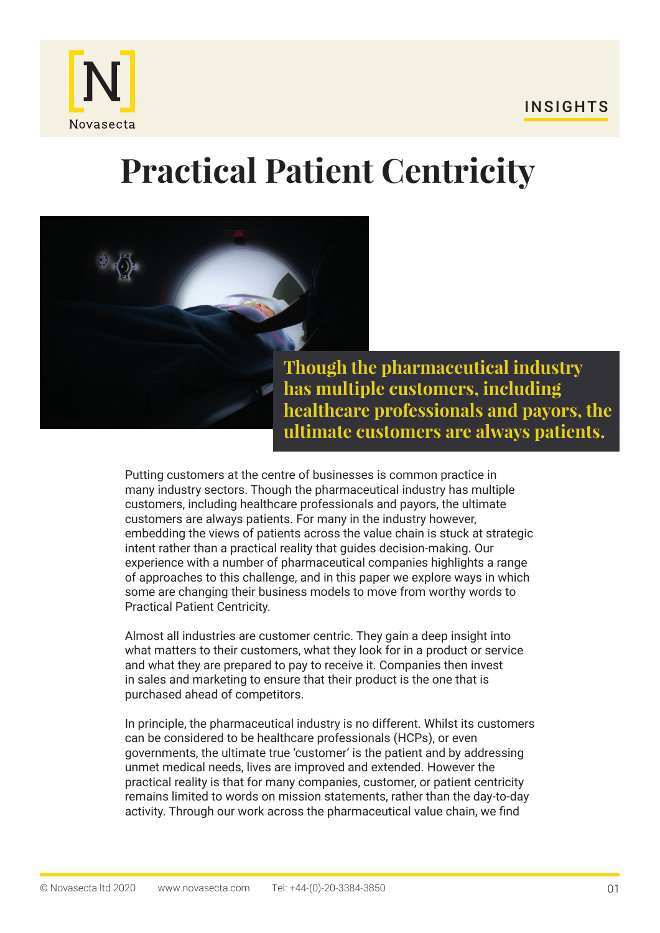



**Though the pharmaceutical industry has multiple customers, including healthcare professionals and payors, the ultimate customers are always patients.**

Putting customers at the centre of businesses is common practice in many industry sectors. Though the pharmaceutical industry has multiple customers, including healthcare professionals and payors, the ultimate customers are always patients. For many in the industry however, embedding the views of patients across the value chain is stuck at strategic intent rather than a practical reality that guides decision-making. Our experience with a number of pharmaceutical companies highlights a range of approaches to this challenge, and in this paper we explore ways in which some are changing their business models to move from worthy words to Practical Patient Centricity.

Almost all industries are customer centric. They gain a deep insight into what matters to their customers, what they look for in a product or service and what they are prepared to pay to receive it. Companies then invest in sales and marketing to ensure that their product is the one that is purchased ahead of competitors.

In principle, the pharmaceutical industry is no different. Whilst its customers can be considered to be healthcare professionals (HCPs), or even governments, the ultimate true 'customer' is the patient and by addressing unmet medical needs, lives are improved and extended. However the practical reality is that for many companies, customer, or patient centricity remains limited to words on mission statements, rather than the day-to-day activity. Through our work across the pharmaceutical value chain, we find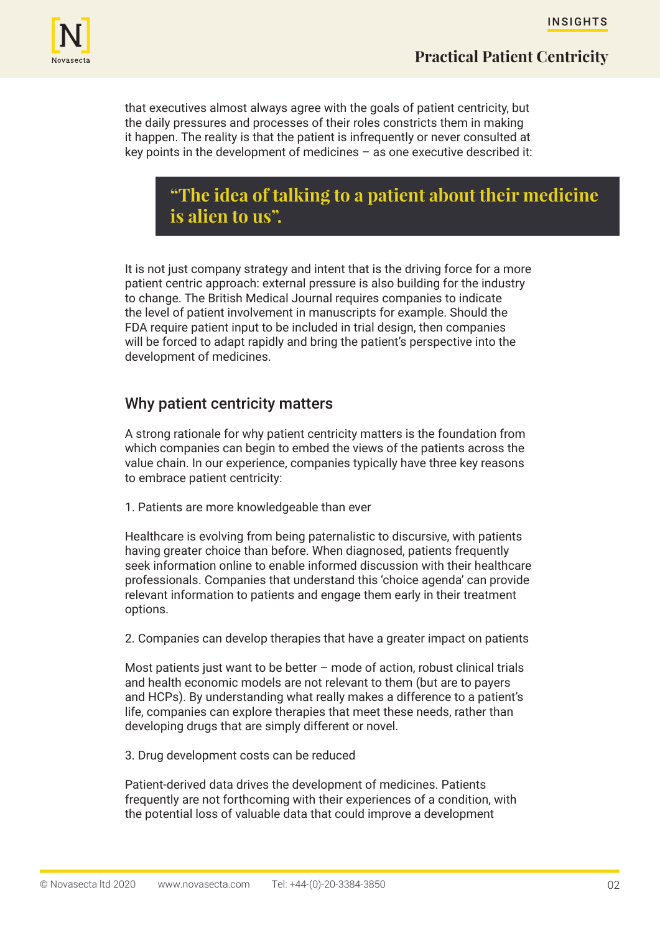

that executives almost always agree with the goals of patient centricity, but the daily pressures and processes of their roles constricts them in making it happen. The reality is that the patient is infrequently or never consulted at key points in the development of medicines – as one executive described it:

## **"The idea of talking to a patient about their medicine is alien to us".**

It is not just company strategy and intent that is the driving force for a more patient centric approach: external pressure is also building for the industry to change. The British Medical Journal requires companies to indicate the level of patient involvement in manuscripts for example. Should the FDA require patient input to be included in trial design, then companies will be forced to adapt rapidly and bring the patient's perspective into the development of medicines.

## Why patient centricity matters

A strong rationale for why patient centricity matters is the foundation from which companies can begin to embed the views of the patients across the value chain. In our experience, companies typically have three key reasons to embrace patient centricity:

1. Patients are more knowledgeable than ever

Healthcare is evolving from being paternalistic to discursive, with patients having greater choice than before. When diagnosed, patients frequently seek information online to enable informed discussion with their healthcare professionals. Companies that understand this 'choice agenda' can provide relevant information to patients and engage them early in their treatment options.

2. Companies can develop therapies that have a greater impact on patients

Most patients just want to be better – mode of action, robust clinical trials and health economic models are not relevant to them (but are to payers and HCPs). By understanding what really makes a difference to a patient's life, companies can explore therapies that meet these needs, rather than developing drugs that are simply different or novel.

3. Drug development costs can be reduced

Patient-derived data drives the development of medicines. Patients frequently are not forthcoming with their experiences of a condition, with the potential loss of valuable data that could improve a development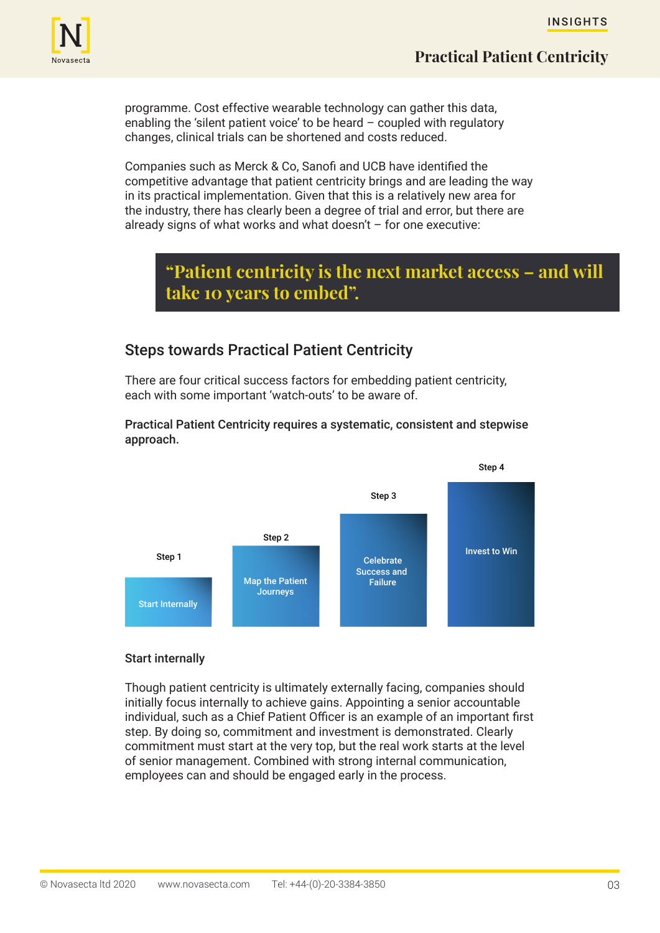

programme. Cost effective wearable technology can gather this data, enabling the 'silent patient voice' to be heard  $-$  coupled with regulatory changes, clinical trials can be shortened and costs reduced.

Companies such as Merck & Co, Sanofi and UCB have identified the competitive advantage that patient centricity brings and are leading the way in its practical implementation. Given that this is a relatively new area for the industry, there has clearly been a degree of trial and error, but there are already signs of what works and what doesn't  $-$  for one executive:

# **"Patient centricity is the next market access – and will take 10 years to embed".**

## Steps towards Practical Patient Centricity

There are four critical success factors for embedding patient centricity, each with some important 'watch-outs' to be aware of.

#### Practical Patient Centricity requires a systematic, consistent and stepwise approach.



#### Start internally

Though patient centricity is ultimately externally facing, companies should initially focus internally to achieve gains. Appointing a senior accountable individual, such as a Chief Patient Officer is an example of an important first step. By doing so, commitment and investment is demonstrated. Clearly commitment must start at the very top, but the real work starts at the level of senior management. Combined with strong internal communication, employees can and should be engaged early in the process.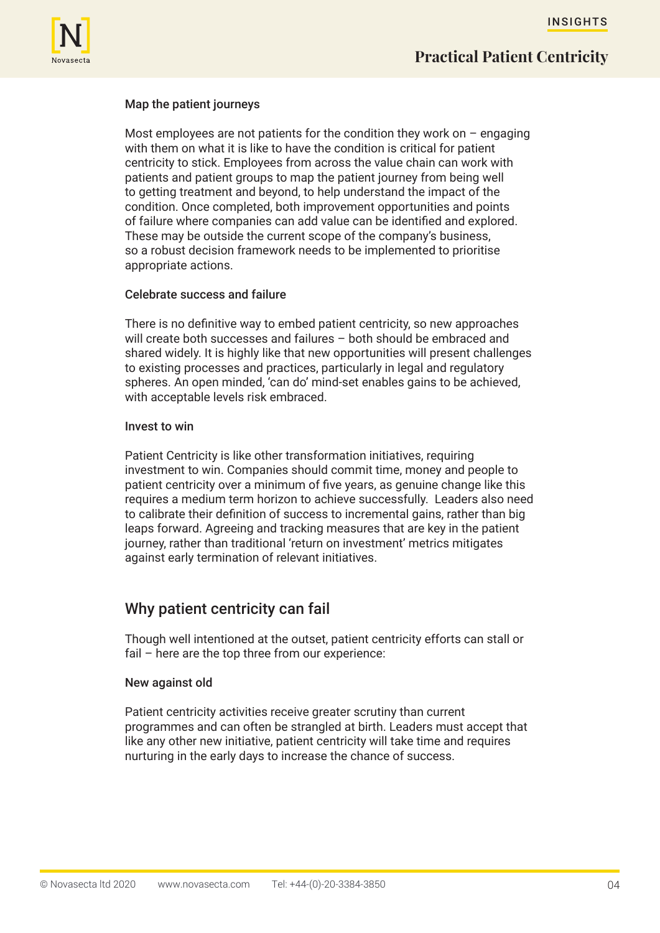

#### Map the patient journeys

Most employees are not patients for the condition they work on  $-$  engaging with them on what it is like to have the condition is critical for patient centricity to stick. Employees from across the value chain can work with patients and patient groups to map the patient journey from being well to getting treatment and beyond, to help understand the impact of the condition. Once completed, both improvement opportunities and points of failure where companies can add value can be identified and explored. These may be outside the current scope of the company's business, so a robust decision framework needs to be implemented to prioritise appropriate actions.

#### Celebrate success and failure

There is no definitive way to embed patient centricity, so new approaches will create both successes and failures – both should be embraced and shared widely. It is highly like that new opportunities will present challenges to existing processes and practices, particularly in legal and regulatory spheres. An open minded, 'can do' mind-set enables gains to be achieved, with acceptable levels risk embraced.

#### Invest to win

Patient Centricity is like other transformation initiatives, requiring investment to win. Companies should commit time, money and people to patient centricity over a minimum of five years, as genuine change like this requires a medium term horizon to achieve successfully. Leaders also need to calibrate their definition of success to incremental gains, rather than big leaps forward. Agreeing and tracking measures that are key in the patient journey, rather than traditional 'return on investment' metrics mitigates against early termination of relevant initiatives.

### Why patient centricity can fail

Though well intentioned at the outset, patient centricity efforts can stall or fail – here are the top three from our experience:

#### New against old

Patient centricity activities receive greater scrutiny than current programmes and can often be strangled at birth. Leaders must accept that like any other new initiative, patient centricity will take time and requires nurturing in the early days to increase the chance of success.